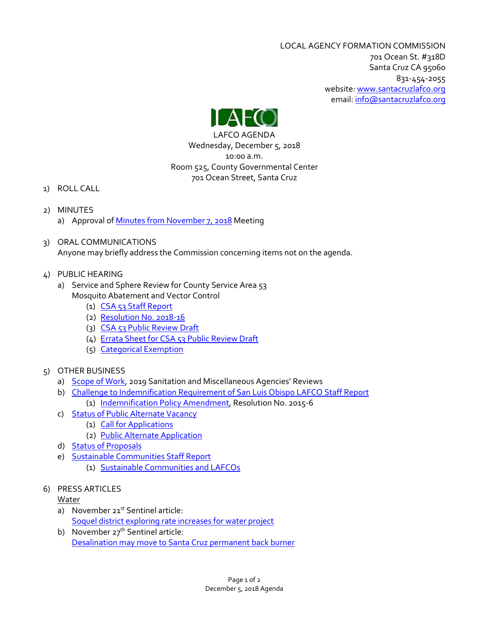LOCAL AGENCY FORMATION COMMISSION 701 Ocean St. #318D Santa Cruz CA 95060 831-454-2055 website[: www.santacruzlafco.org](http://www.santacruzlafco.org/) email: [info@santacruzlafco.org](mailto:info@santacruzlafco.org)



LAFCO AGENDA Wednesday, December 5, 2018 10:00 a.m. Room 525, County Governmental Center 701 Ocean Street, Santa Cruz

- 1) ROLL CALL
- 2) MINUTES a) Approval of [Minutes from November 7,](https://www.santacruzlafco.org/wp-content/uploads/2018/11/2a-11-7-18-Minutes.pdf) 2018 Meeting
- 3) ORAL COMMUNICATIONS Anyone may briefly address the Commission concerning items not on the agenda.
- 4) PUBLIC HEARING
	- a) Service and Sphere Review for County Service Area 53 Mosquito Abatement and Vector Control
		- (1) [CSA 53 Staff Report](https://www.santacruzlafco.org/wp-content/uploads/2018/11/4a1-CSA-53-Staff-Report.pdf)
		- (2) [Resolution No. 2018-16](https://www.santacruzlafco.org/wp-content/uploads/2018/11/4a2-2018-16-CSA-53.pdf)
		- (3) [CSA 53 Public Review Draft](https://www.santacruzlafco.org/wp-content/uploads/2018/11/4a3-CSA-53-Review.pdf)
		- (4) [Errata Sheet for CSA 53 Public Review Draft](https://www.santacruzlafco.org/wp-content/uploads/2018/11/4a4-Errata-CSA-53-Review.pdf)
		- (5) [Categorical Exemption](https://www.santacruzlafco.org/wp-content/uploads/2018/11/4a5-Categorical-Exemption-CSA-53.pdf)
- 5) OTHER BUSINESS
	- a) [Scope of Work,](https://www.santacruzlafco.org/wp-content/uploads/2018/11/5a-Scope-of-Work-Staff-Report.pdf) 2019 Sanitation and Miscellaneous Agencies' Reviews
	- b) [Challenge to Indemnification Requirement of San Luis Obispo LAFCO](https://www.santacruzlafco.org/wp-content/uploads/2018/11/5b-Indemnification-Staff-Report.pdf) Staff Report
		- (1) [Indemnification Policy Amendment,](https://www.santacruzlafco.org/wp-content/uploads/2018/11/5b1-Indemnification-Policy-Res.-No.-2015-6.pdf) Resolution No. 2015-6
	- c) [Status of Public Alternate Vacancy](https://www.santacruzlafco.org/wp-content/uploads/2018/11/5c-Public-Alternate-Status.pdf)
		- (1) [Call for Applications](https://www.santacruzlafco.org/wp-content/uploads/2018/11/5c1-Call-For-Applications-Alternate-2018.pdf)
		- (2) [Public Alternate Application](https://www.santacruzlafco.org/wp-content/uploads/2018/11/5c2-Application-Public-Alternate.pdf)
	- d) [Status of Proposals](https://www.santacruzlafco.org/wp-content/uploads/2018/11/5d-Status-of-Proposals-10-30-18.pdf)
	- e) [Sustainable Communities Staff Report](https://www.santacruzlafco.org/wp-content/uploads/2018/11/5e-Sustainable-Communities-Staff-Report.pdf)
		- (1) [Sustainable Communities and LAFCOs](https://www.santacruzlafco.org/wp-content/uploads/2018/11/5e1-Sustainable-Communities-and-LAFCOs.pdf)
- 6) PRESS ARTICLES

# Water

- a) November 21<sup>st</sup> Sentinel article: [Soquel district exploring rate increases for water project](https://www.santacruzlafco.org/wp-content/uploads/2018/11/6a-Soquel-Creek-Water-Rate-Increase-article.pdf)
- b) November 27<sup>th</sup> Sentinel article: [Desalination may move to Santa Cruz permanent back burner](https://www.santacruzlafco.org/wp-content/uploads/2018/11/6b-Desalination-Back-Burner-article.pdf)